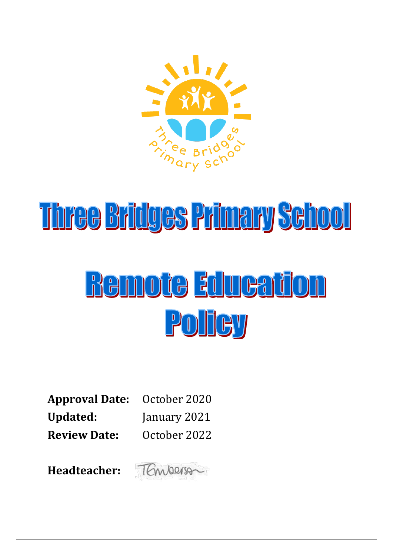

## Three Bridges Primary School

# Remote Education POTEV

**Approval Date:** October 2020 **Updated:** January 2021 **Review Date:** October 2022

TEmperson **Headteacher:**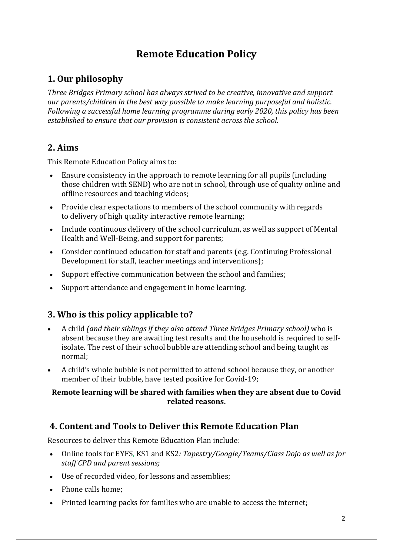## **Remote Education Policy**

## **1. Our philosophy**

*Three Bridges Primary school has always strived to be creative, innovative and support our parents/children in the best way possible to make learning purposeful and holistic. Following a successful home learning programme during early 2020, this policy has been established to ensure that our provision is consistent across the school.*

## **2. Aims**

This Remote Education Policy aims to:

- Ensure consistency in the approach to remote learning for all pupils (including those children with SEND) who are not in school, through use of quality online and offline resources and teaching videos;
- Provide clear expectations to members of the school community with regards to delivery of high quality interactive remote learning;
- Include continuous delivery of the school curriculum, as well as support of Mental Health and Well-Being, and support for parents;
- Consider continued education for staff and parents (e.g. Continuing Professional Development for staff, teacher meetings and interventions);
- Support effective communication between the school and families;
- Support attendance and engagement in home learning.

## **3. Who is this policy applicable to?**

- A child *(and their siblings if they also attend Three Bridges Primary school)* who is absent because they are awaiting test results and the household is required to selfisolate. The rest of their school bubble are attending school and being taught as normal;
- A child's whole bubble is not permitted to attend school because they, or another member of their bubble, have tested positive for Covid-19;

#### **Remote learning will be shared with families when they are absent due to Covid related reasons.**

## **4. Content and Tools to Deliver this Remote Education Plan**

Resources to deliver this Remote Education Plan include:

- Online tools for EYFS, KS1 and KS2*: Tapestry/Google/Teams/Class Dojo as well as for staff CPD and parent sessions;*
- Use of recorded video, for lessons and assemblies;
- Phone calls home:
- Printed learning packs for families who are unable to access the internet;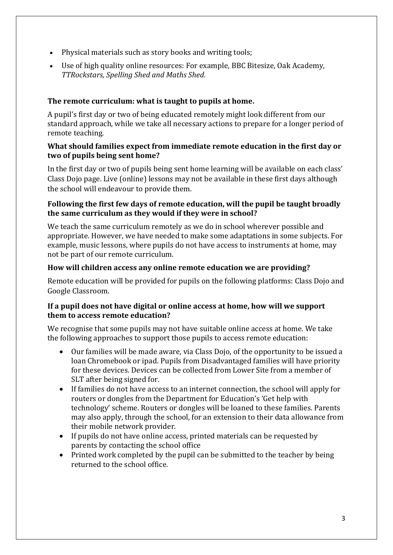- Physical materials such as story books and writing tools;
- Use of high quality online resources: For example, BBC Bitesize, Oak Academy, *TTRockstars, Spelling Shed and Maths Shed.*

#### **The remote curriculum: what is taught to pupils at home.**

A pupil's first day or two of being educated remotely might look different from our standard approach, while we take all necessary actions to prepare for a longer period of remote teaching*.*

#### **What should families expect from immediate remote education in the first day or two of pupils being sent home?**

In the first day or two of pupils being sent home learning will be available on each class' Class Dojo page. Live (online) lessons may not be available in these first days although the school will endeavour to provide them.

#### **Following the first few days of remote education, will the pupil be taught broadly the same curriculum as they would if they were in school?**

We teach the same curriculum remotely as we do in school wherever possible and appropriate. However, we have needed to make some adaptations in some subjects. For example, music lessons, where pupils do not have access to instruments at home, may not be part of our remote curriculum.

#### **How will children access any online remote education we are providing?**

Remote education will be provided for pupils on the following platforms: Class Dojo and Google Classroom.

#### **If a pupil does not have digital or online access at home, how will we support them to access remote education?**

We recognise that some pupils may not have suitable online access at home. We take the following approaches to support those pupils to access remote education:

- Our families will be made aware, via Class Dojo, of the opportunity to be issued a loan Chromebook or ipad. Pupils from Disadvantaged families will have priority for these devices. Devices can be collected from Lower Site from a member of SLT after being signed for.
- If families do not have access to an internet connection, the school will apply for routers or dongles from the Department for Education's 'Get help with technology' scheme. Routers or dongles will be loaned to these families. Parents may also apply, through the school, for an extension to their data allowance from their mobile network provider.
- If pupils do not have online access, printed materials can be requested by parents by contacting the school office
- Printed work completed by the pupil can be submitted to the teacher by being returned to the school office.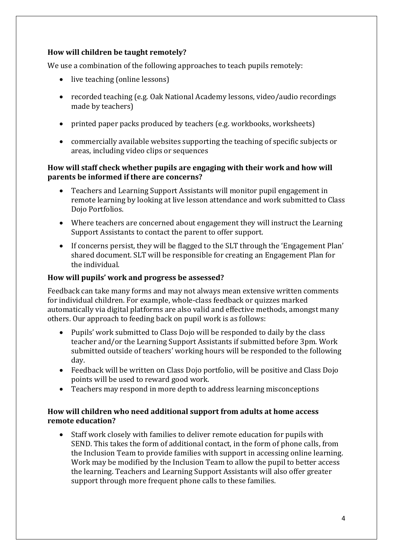## **How will children be taught remotely?**

We use a combination of the following approaches to teach pupils remotely:

- live teaching (online lessons)
- recorded teaching (e.g. Oak National Academy lessons, video/audio recordings made by teachers)
- printed paper packs produced by teachers (e.g. workbooks, worksheets)
- commercially available websites supporting the teaching of specific subjects or areas, including video clips or sequences

#### **How will staff check whether pupils are engaging with their work and how will parents be informed if there are concerns?**

- Teachers and Learning Support Assistants will monitor pupil engagement in remote learning by looking at live lesson attendance and work submitted to Class Dojo Portfolios.
- Where teachers are concerned about engagement they will instruct the Learning Support Assistants to contact the parent to offer support.
- If concerns persist, they will be flagged to the SLT through the 'Engagement Plan' shared document. SLT will be responsible for creating an Engagement Plan for the individual.

#### **How will pupils' work and progress be assessed?**

Feedback can take many forms and may not always mean extensive written comments for individual children. For example, whole-class feedback or quizzes marked automatically via digital platforms are also valid and effective methods, amongst many others. Our approach to feeding back on pupil work is as follows:

- Pupils' work submitted to Class Dojo will be responded to daily by the class teacher and/or the Learning Support Assistants if submitted before 3pm. Work submitted outside of teachers' working hours will be responded to the following day.
- Feedback will be written on Class Dojo portfolio, will be positive and Class Dojo points will be used to reward good work.
- Teachers may respond in more depth to address learning misconceptions

#### **How will children who need additional support from adults at home access remote education?**

 Staff work closely with families to deliver remote education for pupils with SEND. This takes the form of additional contact, in the form of phone calls, from the Inclusion Team to provide families with support in accessing online learning. Work may be modified by the Inclusion Team to allow the pupil to better access the learning. Teachers and Learning Support Assistants will also offer greater support through more frequent phone calls to these families.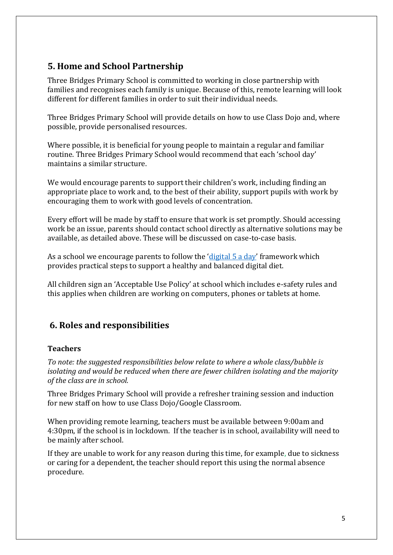## **5. Home and School Partnership**

Three Bridges Primary School is committed to working in close partnership with families and recognises each family is unique. Because of this, remote learning will look different for different families in order to suit their individual needs.

Three Bridges Primary School will provide details on how to use Class Dojo and, where possible, provide personalised resources.

Where possible, it is beneficial for young people to maintain a regular and familiar routine. Three Bridges Primary School would recommend that each 'school day' maintains a similar structure.

We would encourage parents to support their children's work, including finding an appropriate place to work and, to the best of their ability, support pupils with work by encouraging them to work with good levels of concentration.

Every effort will be made by staff to ensure that work is set promptly. Should accessing work be an issue, parents should contact school directly as alternative solutions may be available, as detailed above. These will be discussed on case-to-case basis.

As a school we encourage parents to follow the '[digital 5 a day](https://www.childrenscommissioner.gov.uk/digital/5-a-day/)' framework which provides practical steps to support a healthy and balanced digital diet.

All children sign an 'Acceptable Use Policy' at school which includes e-safety rules and this applies when children are working on computers, phones or tablets at home.

## **6. Roles and responsibilities**

## **Teachers**

*To note: the suggested responsibilities below relate to where a whole class/bubble is isolating and would be reduced when there are fewer children isolating and the majority of the class are in school.*

Three Bridges Primary School will provide a refresher training session and induction for new staff on how to use Class Dojo/Google Classroom.

When providing remote learning, teachers must be available between 9:00am and 4:30pm, if the school is in lockdown. If the teacher is in school, availability will need to be mainly after school.

If they are unable to work for any reason during this time, for example, due to sickness or caring for a dependent, the teacher should report this using the normal absence procedure.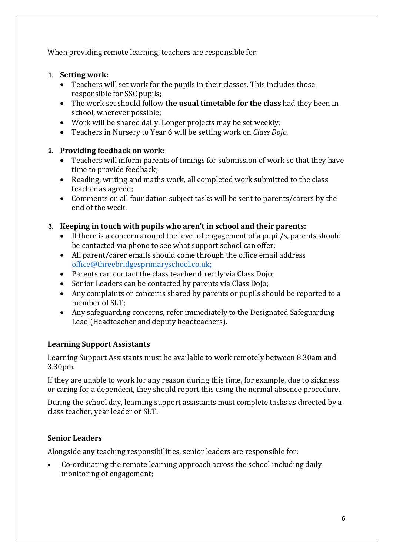When providing remote learning, teachers are responsible for:

## **1. Setting work:**

- Teachers will set work for the pupils in their classes. This includes those responsible for SSC pupils;
- The work set should follow **the usual timetable for the class** had they been in school, wherever possible;
- Work will be shared daily. Longer projects may be set weekly;
- Teachers in Nursery to Year 6 will be setting work on *Class Dojo.*

## **2. Providing feedback on work:**

- Teachers will inform parents of timings for submission of work so that they have time to provide feedback;
- Reading, writing and maths work, all completed work submitted to the class teacher as agreed;
- Comments on all foundation subject tasks will be sent to parents/carers by the end of the week.

## **3. Keeping in touch with pupils who aren't in school and their parents:**

- If there is a concern around the level of engagement of a pupil/s, parents should be contacted via phone to see what support school can offer;
- All parent/carer emails should come through the office email address [office@threebridgesprimaryschool.co.uk;](mailto:office@threebridgesprimaryschool.co.uk)
- Parents can contact the class teacher directly via Class Dojo;
- Senior Leaders can be contacted by parents via Class Dojo;
- Any complaints or concerns shared by parents or pupils should be reported to a member of SLT;
- Any safeguarding concerns, refer immediately to the Designated Safeguarding Lead (Headteacher and deputy headteachers).

## **Learning Support Assistants**

Learning Support Assistants must be available to work remotely between 8.30am and 3.30pm.

If they are unable to work for any reason during this time, for example, due to sickness or caring for a dependent, they should report this using the normal absence procedure.

During the school day, learning support assistants must complete tasks as directed by a class teacher, year leader or SLT.

## **Senior Leaders**

Alongside any teaching responsibilities, senior leaders are responsible for:

 Co-ordinating the remote learning approach across the school including daily monitoring of engagement;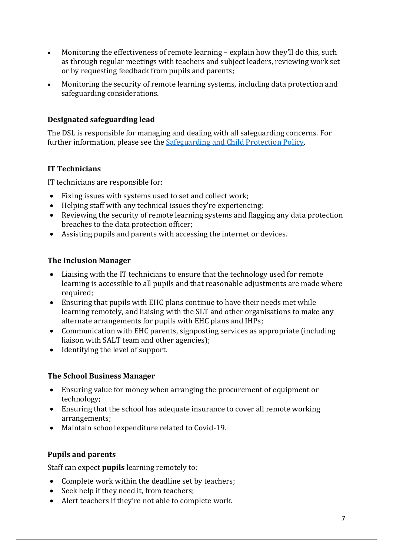- Monitoring the effectiveness of remote learning explain how they'll do this, such as through regular meetings with teachers and subject leaders, reviewing work set or by requesting feedback from pupils and parents;
- Monitoring the security of remote learning systems, including data protection and safeguarding considerations.

## **Designated safeguarding lead**

The DSL is responsible for managing and dealing with all safeguarding concerns. For further information, please see the [Safeguarding and Child Protection Policy.](https://www.threebridgesprimaryschool.co.uk/page/?title=Policies+and+Forms&pid=94) 

## **IT Technicians**

IT technicians are responsible for:

- Fixing issues with systems used to set and collect work;
- Helping staff with any technical issues they're experiencing;
- Reviewing the security of remote learning systems and flagging any data protection breaches to the data protection officer;
- Assisting pupils and parents with accessing the internet or devices.

## **The Inclusion Manager**

- Liaising with the IT technicians to ensure that the technology used for remote learning is accessible to all pupils and that reasonable adjustments are made where required:
- Ensuring that pupils with EHC plans continue to have their needs met while learning remotely, and liaising with the SLT and other organisations to make any alternate arrangements for pupils with EHC plans and IHPs;
- Communication with EHC parents, signposting services as appropriate (including liaison with SALT team and other agencies);
- Identifying the level of support.

## **The School Business Manager**

- Ensuring value for money when arranging the procurement of equipment or technology;
- Ensuring that the school has adequate insurance to cover all remote working arrangements;
- Maintain school expenditure related to Covid-19.

## **Pupils and parents**

Staff can expect **pupils** learning remotely to:

- Complete work within the deadline set by teachers;
- Seek help if they need it, from teachers;
- Alert teachers if they're not able to complete work.